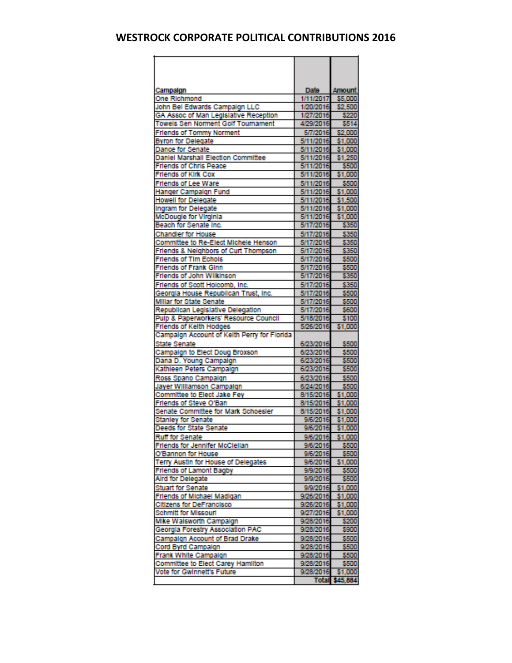| Campaign                                                            | Date                                 | <b>Amount</b> |
|---------------------------------------------------------------------|--------------------------------------|---------------|
| One Richmond                                                        | 1/11/2017 \$5,000                    |               |
| John Bel Edwards Campaign LLC                                       | 1/20/2016 \$2,500<br>1/27/2016 \$220 |               |
| GA Assoc of Man Legislative Reception                               |                                      |               |
| Towels Sen Norment Golf Tournament                                  | 4/29/2016                            | \$514         |
| <b>Friends of Tommy Norment</b>                                     | 5/7/2016 \$2,000                     |               |
| <b>Byron for Delegate</b>                                           | 5/11/2016                            | \$1,000       |
| Dance for Senate                                                    | 5/11/2016                            | \$1,000       |
| Daniel Marshall Election Committee                                  | 5/11/2016                            | \$1,250       |
| <b>Friends of Chris Peace</b>                                       | 5/11/2016                            | \$500         |
| <b>Friends of Kirk Cox</b>                                          | 5/11/2016                            | \$1,000       |
| Friends of Lee Ware                                                 | 5/11/2016                            | \$500         |
| Hanger Campaign Fund                                                | 5/11/2016                            | \$1,000       |
| <b>Howell for Delegate</b>                                          | 5/11/2016                            | \$1,500       |
| Ingram for Delegate                                                 | 5/11/2016                            | \$1,000       |
| McDougle for Virginia                                               | 5/11/2016                            | \$1,000       |
| Beach for Senate Inc.                                               | 5/17/2016                            | \$350         |
| <b>Chandler for House</b>                                           | 5/17/2016                            | \$350         |
| Committee to Re-Elect Michele Henson                                | 5/17/2016                            | \$350         |
| Friends & Neighbors of Curt Thompson                                | 5/17/2016                            | \$350         |
| <b>Friends of Tim Echois</b>                                        | 5/17/2016                            | \$500         |
| <b>Friends of Frank Ginn</b>                                        | 5/17/2016                            | \$500         |
| Friends of John Wilkinson                                           | 5/17/2016                            | \$350         |
| Friends of Scott Holcomb, Inc.                                      | 5/17/2016                            | \$350         |
| Georgia House Republican Trust, Inc.                                | 5/17/2016                            | \$500         |
|                                                                     | 5/17/2016                            | \$500         |
| <b>Millar for State Senate</b><br>Republican Legislative Delegation | 5/17/2016                            | \$600         |
| Pulp & Paperworkers' Resource Council                               | 5/18/2016                            | \$100         |
| Friends of Kelth Hodges                                             | 5/26/2016 \$1,000                    |               |
| Campaign Account of Keith Perry for Florida                         |                                      |               |
| <b>State Senate</b>                                                 | 6/23/2016                            | \$500         |
| Campaign to Elect Doug Broxson                                      | 6/23/2016                            | \$500         |
| Dana D. Young Campaign                                              | 6/23/2016                            | \$500         |
| Kathleen Peters Campaign                                            | 6/23/2016                            | \$500         |
| Ross Spano Campaign                                                 | 6/23/2016                            | \$500         |
| Jayer Williamson Campaign                                           | 6/24/2016                            | \$500         |
| Committee to Elect Jake Fey                                         | 8/15/2016                            | \$1,000       |
| Friends of Steve O'Ban                                              | 8/15/2016 \$1,000                    |               |
| Senate Committee for Mark Schoesier                                 | 8/15/2016                            | \$1,000       |
| <b>Stanley for Senate</b>                                           | 9/6/2016                             | \$1,000       |
| Deeds for State Senate                                              | 9/6/2016                             | \$1,000       |
| <b>Rull for Senate</b>                                              | 9/6/2016                             | \$1,000       |
| Friends for Jennifer McClellan                                      | 9/6/2016                             | \$500         |
| O'Bannon for House                                                  | 9/6/2016                             | \$500         |
| Terry Austin for House of Delegates                                 | 9/6/2016 \$1,000                     |               |
| <b>Friends of Lamont Bagby</b>                                      | 9/9/2016                             | \$500         |
| Aird for Delegate                                                   | 9/9/2016                             | \$500         |
| <b>Stuart for Senate</b>                                            | 9/9/2016                             | \$1,000       |
| Friends of Michael Madigan                                          | 9/26/2016                            | \$1,000       |
| <b>Citizens for DeFrancisco</b>                                     | 9/26/2016                            | \$1,000       |
| Schmitt for Missouri                                                | 9/27/2016                            | \$1,000       |
| Mike Walsworth Campaign                                             | 9/28/2016                            | \$200         |
| Georgia Forestry Association PAC                                    | 9/28/2016                            | \$900         |
| Campaign Account of Brad Drake                                      | 9/28/2016                            | \$500         |
| Cord Byrd Campaign                                                  | 9/28/2016                            | \$500         |
| Frank White Campaign                                                | 9/28/2016                            | \$500         |
| Committee to Elect Carey Hamilton                                   |                                      |               |
| Vote for Gwinnett's Future                                          | 9/28/2016 \$500<br>9/28/2016 \$1,000 |               |
|                                                                     | Total \$45,884                       |               |
|                                                                     |                                      |               |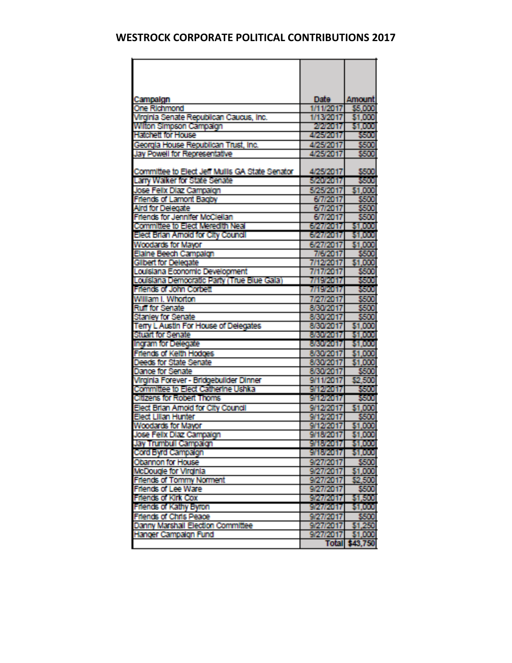| Campaign                                                                      | Date :                 | Amount             |
|-------------------------------------------------------------------------------|------------------------|--------------------|
| <b>One Richmond</b>                                                           | 1/11/2017              | \$5,000            |
| Virginia Senate Republican Caucus, Inc.                                       | 1/13/2017              | \$1,000            |
| Wilton Simpson Campaign                                                       | 2/2/2017               | \$1,000            |
| <b>Hatchett for House</b>                                                     | 4/25/2017              | sam                |
| Georgia House Republican Trust, Inc.                                          | 4/25/2017              | san                |
| Jay Powell for Representative                                                 | 4/25/2017              | SSOU               |
|                                                                               |                        |                    |
| Committee to Elect Jeff Mullis GA State Senator                               | 4/25/2017              | SAN                |
| Larry Walker for State Senate                                                 | 5/20/2017              | san                |
| Jose Felix Diaz Campaign                                                      | 5/25/2017              | \$1,000            |
| <b>Friends of Lamont Bagby</b>                                                | 6/7/2017               | san                |
| <b>Aird for Delegate</b>                                                      | 6772017                | san                |
| Friends for Jennifer McClellan                                                | 6/7/2017               | sam                |
| Committee to Elect Meredith Neal                                              | 6/27/2017              | \$1,000            |
| Elect Eirlan Amoid for City Council                                           | 6/27/2017              | 51.000             |
| Woodards for Mayor                                                            | 6/27/2017              | \$1,000            |
| Elaine Beech Campaign                                                         | 7/6/2017               | sson               |
| <b>Gilbert for Delegate</b>                                                   | 7/12/2017              | \$1,000            |
| Louisiana Economic Development                                                | 7/17/2017              | sam                |
| Louisiana Democratic Party (True Blue Gala)                                   | 7/19/2017              | 89 D               |
| <b>Friends of John Corbett</b>                                                | 771972017              | san                |
| William I. Whorton                                                            | 712712017              | sam                |
| <b>Ruff for Senate</b>                                                        | 8/30/2017              | san                |
| <b>Stanley for Senate</b>                                                     | 8/30/2017              | SOU                |
| Terry L Austin For House of Delegates                                         | 8/30/2017              | \$1,000            |
| <b>Stuart for Senate</b>                                                      | 873072017              | \$1,000            |
| Ingram for Delegate                                                           | 8/30/2017              | 51.000             |
| Friends of Keith Hodges                                                       | 8/30/2017              | \$1,000            |
| Deeds for State Senate                                                        | 8/30/2017              | \$1,000            |
| <b>Dance for Senate</b>                                                       | 873072017              | SSOO               |
| Virginia Forever - Bridgebuilder Dinner<br>Committee to Elect Catherine Ushka | 9/11/2017              | \$2,500            |
|                                                                               | 9/12/2017              | <b>SSO0</b>        |
| <b>Citizens for Robert Thoms</b>                                              | 9/12/2017              | SSOO               |
| Elect Brian Amoid for City Council                                            | 9/12/2017              | \$1,000            |
| Elect Lillan Hunter                                                           | 9/12/2017              | sm                 |
| Woodards for Mayor                                                            | 9/12/2017              | \$1,000            |
| José Feix Diaz Campaign                                                       | 9/18/2017              | 31.DUU             |
| <b>Jay Trumbull Campaign</b>                                                  | 9/18/2017              | \$1,000<br>\$1,000 |
| Cord Byrd Campaign                                                            | 9/18/2017              |                    |
| Obannon for House                                                             | 9/27/2017              | <b>2500</b>        |
| McDougle for Virginia                                                         | 9/27/2017              | \$1,000<br>\$2,500 |
| <b>Friends of Tommy Norment</b><br><b>Friends of Lee Ware</b>                 | 9/27/2017<br>9/27/2017 | SOD                |
| Friends of Kirk Cox                                                           | 9/27/2017              | \$1,500            |
| Friends of Kathy Elyron                                                       | 9/27/2017              | \$1,000            |
| Friends of Chris Peace                                                        | 9/27/2017              | SKOU               |
| Danny Marshall Election Committee                                             | 9/27/2017              | \$1,250            |
| Hanger Campaign Fund                                                          | 9/27/2017              | \$1,000            |
|                                                                               | <b>Total</b>           | \$43,750           |
|                                                                               |                        |                    |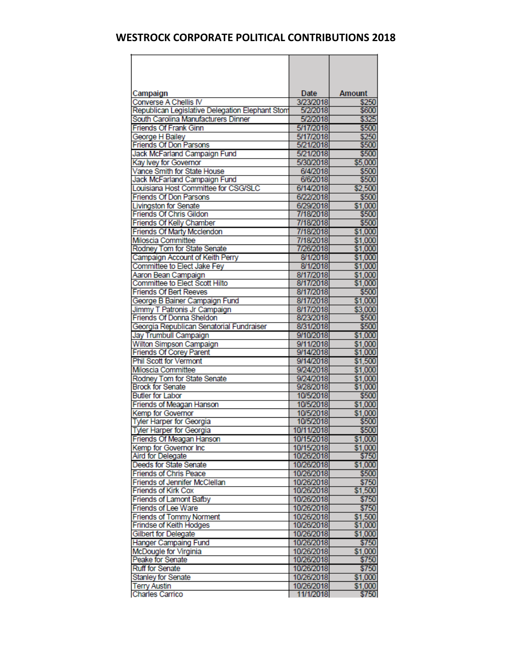| Campaign                                                              | Date                     | Amount             |
|-----------------------------------------------------------------------|--------------------------|--------------------|
| Converse A Chellis IV                                                 | 3/23/2018                | \$250              |
| Republican Legislative Delegation Elephant Stom                       | 5/2/2018                 | \$600              |
| South Carolina Manufacturers Dinner                                   | 5/2/2018                 | \$325              |
| <b>Friends Of Frank Ginn</b>                                          | 5/17/2018                | \$500              |
| George H Bailey                                                       | 5/17/2018                | \$250              |
| <b>Friends Of Don Parsons</b>                                         | 5/21/2018                | \$500              |
| Jack McFarland Campaign Fund                                          | 5/21/2018                | \$500              |
| Kay Ivey for Governor                                                 | 5/30/2018                | \$5,000            |
| Vance Smith for State House                                           | 6/4/2018                 | \$500              |
| Jack McFarland Campaign Fund                                          | 6/6/2018                 | \$500              |
| Louisiana Host Committee for CSG/SLC<br><b>Friends Of Don Parsons</b> | 6/14/2018                | \$2,500<br>\$500   |
|                                                                       | 6/22/2018                | \$1,000            |
| Livingston for Senate<br><b>Friends Of Chris Gildon</b>               | 6/29/2018<br>7/18/2018   | \$500              |
| <b>Friends Of Kelly Chamber</b>                                       | 7/18/2018                | \$500              |
| Friends Of Marty Mcclendon                                            | 7/18/2018                | \$1,000            |
| Miloscia Committee                                                    | 7/18/2018                | \$1,000            |
| Rodney Tom for State Senate                                           | 7/26/2018                | \$1,000            |
| Campaign Account of Keith Perry                                       | 8/1/2018                 | \$1,000            |
| Committee to Elect Jake Fey                                           | 8/1/2018                 | \$1,000            |
| Aaron Bean Campaign                                                   | 8/17/2018                | \$1,000            |
| <b>Committee to Elect Scott Hilto</b>                                 | 8/17/2018                | \$1,000            |
| <b>Friends Of Bert Reeves</b>                                         | 8/17/2018                | \$500              |
| George B Bainer Campaign Fund                                         | 8/17/2018                | \$1,000            |
| Jimmy T Patronis Jr Campaign                                          | 8/17/2018                | \$3,000            |
| Friends Of Donna Sheldon                                              | 8/23/2018                | \$500              |
| Georgia Republican Senatorial Fundraiser                              | 8/31/2018                | \$500              |
| Jay Trumbull Campaign                                                 | 9/10/2018                | \$1,000            |
| Wilton Simpson Campaign                                               | 9/11/2018                | \$1,000            |
| <b>Friends Of Corey Parent</b>                                        | 9/14/2018                | \$1,000            |
| Phil Scott for Vermont<br>Miloscia Committee                          | 9/14/2018<br>9/24/2018   | \$1,500<br>\$1,000 |
| Rodney Tom for State Senate                                           | 9/24/2018                | \$1,000            |
| <b>Brock for Senate</b>                                               | 9/28/2018                | \$1,000            |
| <b>Butler for Labor</b>                                               | 10/5/2018                | \$500              |
| Friends of Meagan Hanson                                              | 10/5/2018                | \$1,000            |
| Kemp for Governor                                                     | 10/5/2018                | \$1,000            |
| <b>Tyler Harper for Georgia</b>                                       | 10/5/2018                | \$500              |
| <b>Tyler Harper for Georgia</b>                                       | 10/11/2018               | \$500              |
| Friends Of Meagan Hanson                                              | 10/15/2018               | \$1,000            |
| Kemp for Governor Inc                                                 | 10/15/2018               | \$1,000            |
| <b>Aird for Delegate</b>                                              | 10/26/2018               | \$750              |
| Deeds for State Senate                                                | 10/26/2018               | \$1,000            |
| <b>Friends of Chris Peace</b>                                         | 10/26/2018               | \$500              |
| Friends of Jennifer McClellan                                         | 10/26/2018               | \$750              |
| <b>Friends of Kirk Cox</b>                                            | 10/26/2018               | \$1,500            |
| <b>Friends of Lamont Bafby</b>                                        | 10/26/2018               | \$750              |
| <b>Friends of Lee Ware</b>                                            | 10/26/2018               | \$750              |
| <b>Friends of Tommy Norment</b>                                       | 10/26/2018               | \$1,500            |
| <b>Frindse of Keith Hodges</b>                                        | 10/26/2018               | \$1,000            |
| <b>Gilbert for Delegate</b>                                           | 10/26/2018               | \$1,000            |
| <b>Hanger Campaing Fund</b>                                           | 10/26/2018               | \$750              |
| McDougle for Virginia<br>Peake for Senate                             | 10/26/2018<br>10/26/2018 | \$1,000<br>\$750   |
| <b>Ruff for Senate</b>                                                | 10/26/2018               | \$750              |
| <b>Stanley for Senate</b>                                             | 10/26/2018               | \$1,000            |
| <b>Terry Austin</b>                                                   | 10/26/2018               | \$1,000            |
| <b>Charles Carrico</b>                                                | 11/1/2018                | \$750              |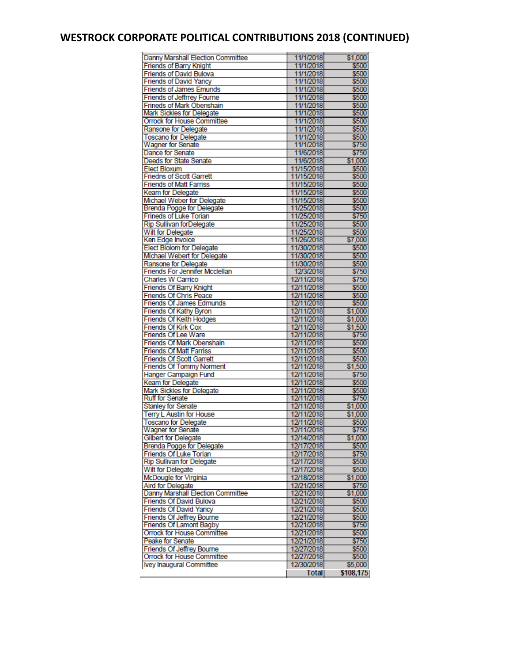# **WESTROCK CORPORATE POLITICAL CONTRIBUTIONS 2018 (CONTINUED)**

| Danny Marshall Election Committee     | 11/1/2018    | \$1,000   |
|---------------------------------------|--------------|-----------|
| <b>Friends of Barry Knight</b>        | 11/1/2018    | \$500     |
| <b>Friends of David Bulova</b>        | 11/1/2018    | \$500     |
| <b>Friends of David Yancy</b>         | 11/1/2018    | \$500     |
| <b>Friends of James Emunds</b>        | 11/1/2018    | \$500     |
| <b>Friends of Jeffrrey Fourne</b>     | 11/1/2018    | \$500     |
| Frineds of Mark Obenshain             | 11/1/2018    | \$500     |
| Mark Sickles for Delegate             | 11/1/2018    | \$500     |
| Orrock for House Committee            | 11/1/2018    | \$500     |
| Ransone for Delegate                  | 11/1/2018    | \$500     |
| <b>Toscano for Delegate</b>           | 11/1/2018    | \$500     |
| <b>Wagner for Senate</b>              | 11/1/2018    | \$750     |
| Dance for Senate                      |              |           |
|                                       | 11/6/2018    | \$750     |
| Deeds for State Senate                | 11/6/2018    | \$1,000   |
| Elect Bloxum                          | 11/15/2018   | \$500     |
| <b>Friedns of Scott Garrett</b>       | 11/15/2018   | \$500     |
| <b>Friends of Matt Farriss</b>        | 11/15/2018   | \$500     |
| Keam for Delegate                     | 11/15/2018   | \$500     |
| Michael Weber for Delegate            | 11/15/2018   | \$500     |
| Brenda Pogge for Delegate             | 11/25/2018   | \$500     |
| <b>Frineds of Luke Torian</b>         | 11/25/2018   | \$750     |
| Rip Sullivan forDelegate              | 11/25/2018   | \$500     |
| Wilt for Delegate                     | 11/25/2018   | \$500     |
| Ken Edge Invoice                      | 11/26/2018   | \$7,000   |
| <b>Elect Blolom for Delegate</b>      | 11/30/2018   | \$500     |
| Michael Webert for Delegate           | 11/30/2018   | \$500     |
|                                       |              |           |
| Ransone for Delegate                  | 11/30/2018   | \$500     |
| <b>Friends For Jennifer Mcclellan</b> | 12/3/2018    | \$750     |
| Charles W Carrico                     | 12/11/2018   | \$750     |
| Friends Of Barry Knight               | 12/11/2018   | \$500     |
| Friends Of Chris Peace                | 12/11/2018   | \$500     |
| <b>Friends Of James Edmunds</b>       | 12/11/2018   | \$500     |
| Friends Of Kathy Byron                | 12/11/2018   | \$1,000   |
| <b>Friends Of Keith Hodges</b>        | 12/11/2018   | \$1,000   |
| Friends Of Kirk Cox                   | 12/11/2018   | \$1,500   |
| Friends Of Lee Ware                   | 12/11/2018   | \$750     |
| Friends Of Mark Obenshain             | 12/11/2018   | \$500     |
| <b>Friends Of Matt Farriss</b>        | 12/11/2018   | \$500     |
| <b>Friends Of Scott Garrett</b>       | 12/11/2018   | \$500     |
| <b>Friends Of Tommy Norment</b>       | 12/11/2018   | \$1,500   |
| Hanger Campaign Fund                  | 12/11/2018   | \$750     |
|                                       | 12/11/2018   |           |
| Keam for Delegate                     |              | \$500     |
| Mark Sickles for Delegate             | 12/11/2018   | \$500     |
| <b>Ruff for Senate</b>                | 12/11/2018   | \$750     |
| <b>Stanley for Senate</b>             | 12/11/2018   | \$1.000   |
| <b>Terry L Austin for House</b>       | 12/11/2018   | \$1,000   |
| <b>Toscano for Delegate</b>           | 12/11/2018   | \$500     |
| Wagner for Senate                     | 12/11/2018   | \$750     |
| <b>Gilbert for Delegate</b>           | 12/14/2018   | \$1,000   |
| Brenda Pogge for Delegate             | 12/17/2018   | \$500     |
| Friends Of Luke Torian                | 12/17/2018   | \$750     |
| <b>Rip Sullivan for Delegate</b>      | 12/17/2018   | \$500     |
| Wilt for Delegate                     | 12/17/2018   | \$500     |
| McDougle for Virginia                 | 12/18/2018   | \$1,000   |
|                                       |              |           |
| Aird for Delegate                     | 12/21/2018   | \$750     |
| Danny Marshall Election Committee     | 12/21/2018   | \$1,000   |
| Friends Of David Bulova               | 12/21/2018   | \$500     |
| <b>Friends Of David Yancy</b>         | 12/21/2018   | \$500     |
| <b>Friends Of Jeffrey Bourne</b>      | 12/21/2018   | \$500     |
| <b>Friends Of Lamont Bagby</b>        | 12/21/2018   | \$750     |
| Orrock for House Committee            | 12/21/2018   | \$500     |
| Peake for Senate                      | 12/21/2018   | \$750     |
| Friends Of Jeffrey Bourne             | 12/27/2018   | \$500     |
| Orrock for House Committee            | 12/27/2018   | \$500     |
| Ivey Inaugural Committee              | 12/30/2018   | \$5,000   |
|                                       | <b>Total</b> | \$108,175 |
|                                       |              |           |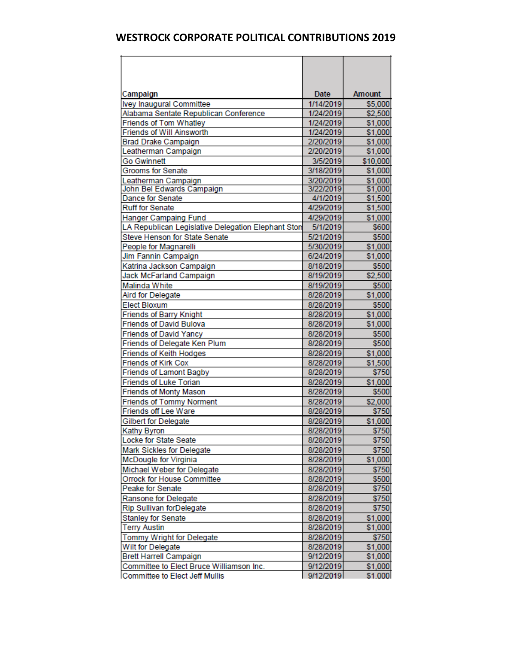| Campaign                                                      | Date                   | <b>Amount</b>    |
|---------------------------------------------------------------|------------------------|------------------|
| Ivey Inaugural Committee                                      | 1/14/2019              | \$5,000          |
| Alabama Sentate Republican Conference                         | 1/24/2019              | \$2,500          |
| Friends of Tom Whatley                                        | 1/24/2019              | \$1,000          |
| Friends of Will Ainsworth                                     | 1/24/2019              | \$1,000          |
| <b>Brad Drake Campaign</b>                                    | 2/20/2019              | \$1,000          |
| Leatherman Campaign                                           | 2/20/2019              | \$1,000          |
| <b>Go Gwinnett</b>                                            | 3/5/2019               | \$10,000         |
| Grooms for Senate                                             | 3/18/2019              | \$1,000          |
| Leatherman Campaign                                           | 3/20/2019              | \$1,000          |
| John Bel Edwards Campaign                                     | 3/22/2019              | \$1,000          |
| Dance for Senate<br><b>Ruff for Senate</b>                    | 4/1/2019<br>4/29/2019  | \$1,500          |
|                                                               |                        | \$1,500          |
| Hanger Campaing Fund                                          | 4/29/2019<br>5/1/2019  | \$1,000<br>\$600 |
| LA Republican Legislative Delegation Elephant Ston            |                        |                  |
| Steve Henson for State Senate                                 | 5/21/2019              | \$500            |
| People for Magnarelli                                         | 5/30/2019              | \$1,000          |
| Jim Fannin Campaign                                           | 6/24/2019              | \$1,000          |
| Katrina Jackson Campaign                                      | 8/18/2019<br>8/19/2019 | \$500            |
| Jack McFarland Campaign                                       |                        | \$2,500          |
| Malinda White                                                 | 8/19/2019<br>8/28/2019 | \$500            |
| Aird for Delegate                                             |                        | \$1,000          |
| <b>Elect Bloxum</b>                                           | 8/28/2019              | \$500            |
| Friends of Barry Knight<br><b>Friends of David Bulova</b>     | 8/28/2019              | \$1,000          |
|                                                               | 8/28/2019              | \$1,000<br>\$500 |
| <b>Friends of David Yancy</b><br>Friends of Delegate Ken Plum | 8/28/2019<br>8/28/2019 | \$500            |
| Friends of Keith Hodges                                       | 8/28/2019              | \$1,000          |
| Friends of Kirk Cox                                           | 8/28/2019              | \$1,500          |
| <b>Friends of Lamont Bagby</b>                                | 8/28/2019              | \$750            |
| Friends of Luke Torian                                        | 8/28/2019              | \$1,000          |
| <b>Friends of Monty Mason</b>                                 | 8/28/2019              | \$500            |
| <b>Friends of Tommy Norment</b>                               | 8/28/2019              | \$2,000          |
| Friends off Lee Ware                                          | 8/28/2019              | \$750            |
| <b>Gilbert for Delegate</b>                                   | 8/28/2019              | \$1,000          |
| Kathy Byron                                                   | 8/28/2019              | \$750            |
| Locke for State Seate                                         | 8/28/2019              | \$750            |
| Mark Sickles for Delegate                                     | 8/28/2019              | \$750            |
| McDougle for Virginia                                         | 8/28/2019              | \$1,000          |
| Michael Weber for Delegate                                    | 8/28/2019              | \$750            |
| Orrock for House Committee                                    | 8/28/2019              | \$500            |
| Peake for Senate                                              | 8/28/2019              | \$750            |
| Ransone for Delegate                                          | 8/28/2019              | \$750            |
| Rip Sullivan forDelegate                                      | 8/28/2019              | \$750            |
| <b>Stanley for Senate</b>                                     | 8/28/2019              | \$1,000          |
| <b>Terry Austin</b>                                           | 8/28/2019              | \$1,000          |
| Tommy Wright for Delegate                                     | 8/28/2019              | \$750            |
| Wilt for Delegate                                             | 8/28/2019              | \$1,000          |
| <b>Brett Harrell Campaign</b>                                 | 9/12/2019              | \$1,000          |
| Committee to Elect Bruce Williamson Inc.                      | 9/12/2019              | \$1,000          |
| Committee to Elect Jeff Mullis                                | 9/12/2019              | \$1,000          |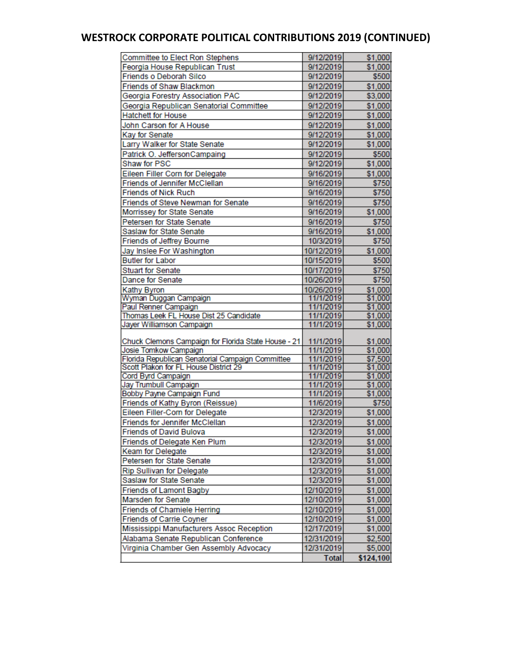# **WESTROCK CORPORATE POLITICAL CONTRIBUTIONS 2019 (CONTINUED)**

| Committee to Elect Ron Stephens                      | 9/12/2019                | \$1,000            |
|------------------------------------------------------|--------------------------|--------------------|
| Feorgia House Republican Trust                       | 9/12/2019                | \$1,000            |
| Friends o Deborah Silco                              | 9/12/2019                | \$500              |
| <b>Friends of Shaw Blackmon</b>                      | 9/12/2019                | \$1,000            |
| Georgia Forestry Association PAC                     | 9/12/2019                | \$3,000            |
| Georgia Republican Senatorial Committee              | 9/12/2019                | \$1,000            |
| <b>Hatchett for House</b>                            | 9/12/2019                | \$1,000            |
| John Carson for A House                              | 9/12/2019                | \$1,000            |
| Kay for Senate                                       | 9/12/2019                | \$1,000            |
| Larry Walker for State Senate                        | 9/12/2019                | \$1,000            |
| Patrick O. JeffersonCampaing                         | 9/12/2019                | \$500              |
| Shaw for PSC                                         | 9/12/2019                | \$1,000            |
| Eileen Filler Corn for Delegate                      | 9/16/2019                | \$1,000            |
| <b>Friends of Jennifer McClellan</b>                 | 9/16/2019                | \$750              |
| <b>Friends of Nick Ruch</b>                          | 9/16/2019                | \$750              |
| Friends of Steve Newman for Senate                   | 9/16/2019                | \$750              |
| Morrissey for State Senate                           | 9/16/2019                | \$1,000            |
| Petersen for State Senate                            |                          | \$750              |
| Saslaw for State Senate                              | 9/16/2019<br>9/16/2019   | \$1,000            |
| Friends of Jeffrey Bourne                            | 10/3/2019                | \$750              |
|                                                      | 10/12/2019               | \$1,000            |
| Jay Inslee For Washington<br><b>Butler for Labor</b> | 10/15/2019               | \$500              |
|                                                      |                          |                    |
| Stuart for Senate<br>Dance for Senate                | 10/17/2019<br>10/26/2019 | \$750              |
|                                                      |                          | \$750              |
| Kathy Byron<br>Wyman Duggan Campaign                 | 10/26/2019<br>11/1/2019  | \$1,000<br>\$1,000 |
| Paul Renner Campaign                                 | 11/1/2019                | \$1,000            |
| Thomas Leek FL House Dist 25 Candidate               | 11/1/2019                | \$1,000            |
| Jayer Williamson Campaign                            | 11/1/2019                | \$1,000            |
|                                                      |                          |                    |
| Chuck Clemons Campaign for Florida State House - 21  | 11/1/2019                | \$1,000            |
| Josie Tomkow Campaign                                | 11/1/2019                | \$1,000            |
| Florida Republican Senatorial Campaign Committee     | 11/1/2019                | \$7,500            |
| Scott Plakon for FL House District 29                | 11/1/2019                | \$1,000            |
| Cord Byrd Campaign                                   | 11/1/2019                | \$1,000            |
| Jay Trumbull Campaign<br>Bobby Payne Campaign Fund   | 11/1/2019<br>11/1/2019   | \$1,000<br>\$1,000 |
| Friends of Kathy Byron (Reissue)                     | 11/6/2019                | \$750              |
| Eileen Filler-Corn for Delegate                      | 12/3/2019                | \$1,000            |
| Friends for Jennifer McClellan                       | 12/3/2019                | \$1,000            |
| <b>Friends of David Bulova</b>                       | 12/3/2019                | \$1,000            |
| Friends of Delegate Ken Plum                         | 12/3/2019                | \$1,000            |
| Keam for Delegate                                    | 12/3/2019                | \$1,000            |
| Petersen for State Senate                            | 12/3/2019                | \$1,000            |
| <b>Rip Sullivan for Delegate</b>                     | 12/3/2019                | \$1,000            |
| Saslaw for State Senate                              | 12/3/2019                | \$1,000            |
| <b>Friends of Lamont Bagby</b>                       | 12/10/2019               | \$1,000            |
| Marsden for Senate                                   | 12/10/2019               | \$1,000            |
| <b>Friends of Charniele Herring</b>                  | 12/10/2019               | \$1,000            |
| <b>Friends of Carrie Coyner</b>                      | 12/10/2019               | \$1,000            |
| Mississippi Manufacturers Assoc Reception            | 12/17/2019               | \$1,000            |
| Alabama Senate Republican Conference                 | 12/31/2019               | \$2,500            |
| Virginia Chamber Gen Assembly Advocacy               | 12/31/2019               | \$5,000            |
|                                                      | <b>Total</b>             | \$124,100          |
|                                                      |                          |                    |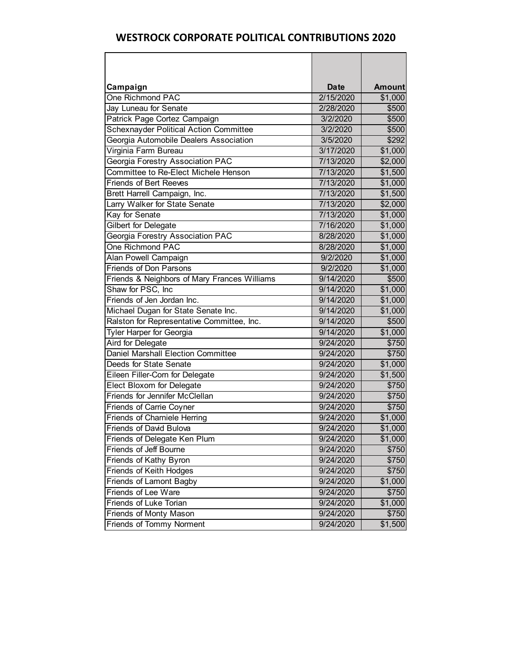| Campaign                                      | <b>Date</b> | <b>Amount</b> |
|-----------------------------------------------|-------------|---------------|
| One Richmond PAC                              | 2/15/2020   | \$1,000       |
| Jay Luneau for Senate                         | 2/28/2020   | \$500         |
| Patrick Page Cortez Campaign                  | 3/2/2020    | \$500         |
| <b>Schexnayder Political Action Committee</b> | 3/2/2020    | \$500         |
| Georgia Automobile Dealers Association        | 3/5/2020    | \$292         |
| Virginia Farm Bureau                          | 3/17/2020   | \$1,000       |
| Georgia Forestry Association PAC              | 7/13/2020   | \$2,000       |
| Committee to Re-Elect Michele Henson          | 7/13/2020   | \$1,500       |
| <b>Friends of Bert Reeves</b>                 | 7/13/2020   | \$1,000       |
| Brett Harrell Campaign, Inc.                  | 7/13/2020   | \$1,500       |
| Larry Walker for State Senate                 | 7/13/2020   | \$2,000       |
| Kay for Senate                                | 7/13/2020   | \$1,000       |
| Gilbert for Delegate                          | 7/16/2020   | \$1,000       |
| Georgia Forestry Association PAC              | 8/28/2020   | \$1,000       |
| One Richmond PAC                              | 8/28/2020   | \$1,000       |
| Alan Powell Campaign                          | 9/2/2020    | \$1,000       |
| <b>Friends of Don Parsons</b>                 | 9/2/2020    | \$1,000       |
| Friends & Neighbors of Mary Frances Williams  | 9/14/2020   | \$500         |
| Shaw for PSC, Inc                             | 9/14/2020   | \$1,000       |
| Friends of Jen Jordan Inc.                    | 9/14/2020   | \$1,000       |
| Michael Dugan for State Senate Inc.           | 9/14/2020   | \$1,000       |
| Ralston for Representative Committee, Inc.    | 9/14/2020   | \$500         |
| <b>Tyler Harper for Georgia</b>               | 9/14/2020   | \$1,000       |
| <b>Aird for Delegate</b>                      | 9/24/2020   | \$750         |
| <b>Daniel Marshall Election Committee</b>     | 9/24/2020   | \$750         |
| Deeds for State Senate                        | 9/24/2020   | \$1,000       |
| Eileen Filler-Corn for Delegate               | 9/24/2020   | \$1,500       |
| Elect Bloxom for Delegate                     | 9/24/2020   | \$750         |
| Friends for Jennifer McClellan                | 9/24/2020   | \$750         |
| <b>Friends of Carrie Coyner</b>               | 9/24/2020   | \$750         |
| <b>Friends of Charniele Herring</b>           | 9/24/2020   | \$1,000       |
| <b>Friends of David Bulova</b>                | 9/24/2020   | \$1,000       |
| Friends of Delegate Ken Plum                  | 9/24/2020   | \$1,000       |
| <b>Friends of Jeff Bourne</b>                 | 9/24/2020   | \$750         |
| Friends of Kathy Byron                        | 9/24/2020   | \$750         |
| Friends of Keith Hodges                       | 9/24/2020   | \$750         |
| <b>Friends of Lamont Bagby</b>                | 9/24/2020   | \$1,000       |
| <b>Friends of Lee Ware</b>                    | 9/24/2020   | \$750         |
| <b>Friends of Luke Torian</b>                 | 9/24/2020   | \$1,000       |
| Friends of Monty Mason                        | 9/24/2020   | \$750         |
| <b>Friends of Tommy Norment</b>               | 9/24/2020   | \$1,500       |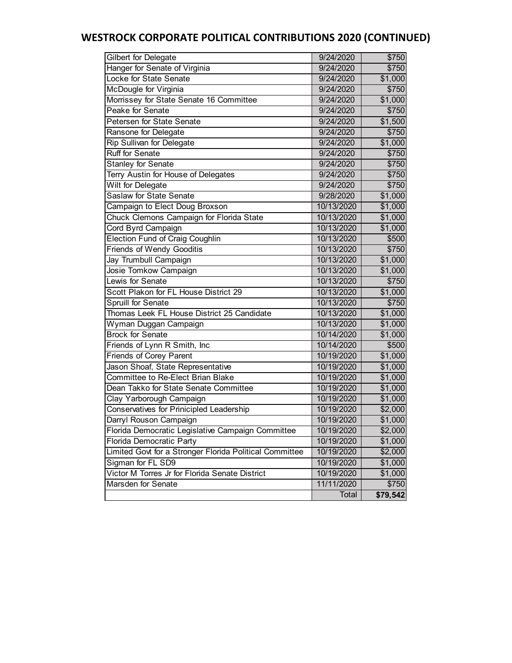# **WESTROCK CORPORATE POLITICAL CONTRIBUTIONS 2020 (CONTINUED)**

| Gilbert for Delegate                                    | 9/24/2020  | \$750               |
|---------------------------------------------------------|------------|---------------------|
| Hanger for Senate of Virginia                           | 9/24/2020  | \$750               |
| Locke for State Senate                                  | 9/24/2020  | \$1,000             |
| McDougle for Virginia                                   | 9/24/2020  | \$750               |
| Morrissey for State Senate 16 Committee                 | 9/24/2020  | \$1,000             |
| Peake for Senate                                        | 9/24/2020  | \$750               |
| Petersen for State Senate                               | 9/24/2020  | \$1,500             |
| Ransone for Delegate                                    | 9/24/2020  | \$750               |
| Rip Sullivan for Delegate                               | 9/24/2020  | \$1,000             |
| <b>Ruff for Senate</b>                                  | 9/24/2020  | \$750               |
| <b>Stanley for Senate</b>                               | 9/24/2020  | \$750               |
| Terry Austin for House of Delegates                     | 9/24/2020  | \$750               |
| <b>Wilt for Delegate</b>                                | 9/24/2020  | \$750               |
| <b>Saslaw for State Senate</b>                          | 9/28/2020  | \$1,000             |
| Campaign to Elect Doug Broxson                          | 10/13/2020 | \$1,000             |
| Chuck Clemons Campaign for Florida State                | 10/13/2020 | \$1,000             |
| Cord Byrd Campaign                                      | 10/13/2020 | \$1,000             |
| <b>Election Fund of Craig Coughlin</b>                  | 10/13/2020 | \$500               |
| <b>Friends of Wendy Gooditis</b>                        | 10/13/2020 | \$750               |
| Jay Trumbull Campaign                                   | 10/13/2020 | \$1,000             |
| Josie Tomkow Campaign                                   | 10/13/2020 | \$1,000             |
| Lewis for Senate                                        | 10/13/2020 | \$750               |
| Scott Plakon for FL House District 29                   | 10/13/2020 | \$1,000             |
| <b>Spruill for Senate</b>                               | 10/13/2020 | \$750               |
| Thomas Leek FL House District 25 Candidate              | 10/13/2020 | \$1,000             |
| Wyman Duggan Campaign                                   | 10/13/2020 | \$1,000             |
| <b>Brock for Senate</b>                                 | 10/14/2020 | \$1,000             |
| Friends of Lynn R Smith, Inc                            | 10/14/2020 | \$500               |
| <b>Friends of Corey Parent</b>                          | 10/19/2020 | $\overline{$1,000}$ |
| Jason Shoaf, State Representative                       | 10/19/2020 | \$1,000             |
| Committee to Re-Elect Brian Blake                       | 10/19/2020 | \$1,000             |
| Dean Takko for State Senate Committee                   | 10/19/2020 | \$1,000             |
| Clay Yarborough Campaign                                | 10/19/2020 | \$1,000             |
| Conservatives for Prinicipled Leadership                | 10/19/2020 | \$2,000             |
| Darryl Rouson Campaign                                  | 10/19/2020 | \$1,000             |
| Florida Democratic Legislative Campaign Committee       | 10/19/2020 | \$2,000             |
| Florida Democratic Party                                | 10/19/2020 | \$1,000             |
| Limited Govt for a Stronger Florida Political Committee | 10/19/2020 | \$2,000             |
| Sigman for FL SD9                                       | 10/19/2020 | \$1,000             |
| Victor M Torres Jr for Florida Senate District          | 10/19/2020 | \$1,000             |
| Marsden for Senate                                      | 11/11/2020 | \$750               |
|                                                         | Total      | \$79,542            |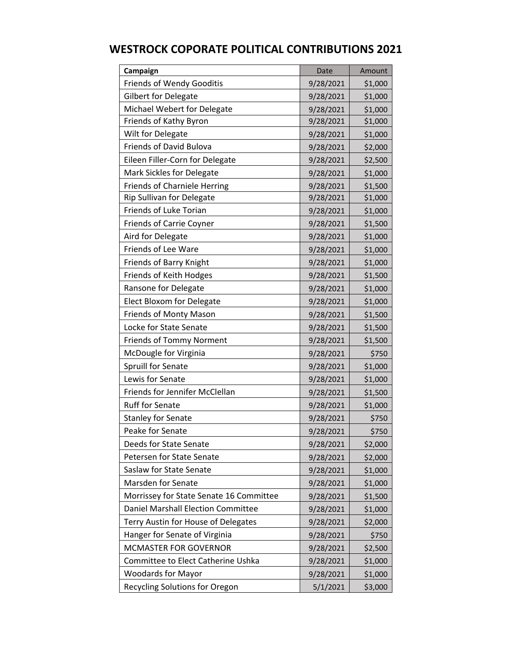| Campaign                                | Date      | Amount  |
|-----------------------------------------|-----------|---------|
| <b>Friends of Wendy Gooditis</b>        | 9/28/2021 | \$1,000 |
| <b>Gilbert for Delegate</b>             | 9/28/2021 | \$1,000 |
| Michael Webert for Delegate             | 9/28/2021 | \$1,000 |
| Friends of Kathy Byron                  | 9/28/2021 | \$1,000 |
| Wilt for Delegate                       | 9/28/2021 | \$1,000 |
| <b>Friends of David Bulova</b>          | 9/28/2021 | \$2,000 |
| Eileen Filler-Corn for Delegate         | 9/28/2021 | \$2,500 |
| Mark Sickles for Delegate               | 9/28/2021 | \$1,000 |
| <b>Friends of Charniele Herring</b>     | 9/28/2021 | \$1,500 |
| Rip Sullivan for Delegate               | 9/28/2021 | \$1,000 |
| Friends of Luke Torian                  | 9/28/2021 | \$1,000 |
| <b>Friends of Carrie Coyner</b>         | 9/28/2021 | \$1,500 |
| Aird for Delegate                       | 9/28/2021 | \$1,000 |
| Friends of Lee Ware                     | 9/28/2021 | \$1,000 |
| Friends of Barry Knight                 | 9/28/2021 | \$1,000 |
| Friends of Keith Hodges                 | 9/28/2021 | \$1,500 |
| Ransone for Delegate                    | 9/28/2021 | \$1,000 |
| Elect Bloxom for Delegate               | 9/28/2021 | \$1,000 |
| Friends of Monty Mason                  | 9/28/2021 | \$1,500 |
| Locke for State Senate                  | 9/28/2021 | \$1,500 |
| <b>Friends of Tommy Norment</b>         | 9/28/2021 | \$1,500 |
| McDougle for Virginia                   | 9/28/2021 | \$750   |
| Spruill for Senate                      | 9/28/2021 | \$1,000 |
| Lewis for Senate                        | 9/28/2021 | \$1,000 |
| Friends for Jennifer McClellan          | 9/28/2021 | \$1,500 |
| <b>Ruff for Senate</b>                  | 9/28/2021 | \$1,000 |
| <b>Stanley for Senate</b>               | 9/28/2021 | \$750   |
| Peake for Senate                        | 9/28/2021 | \$750   |
| Deeds for State Senate                  | 9/28/2021 | \$2,000 |
| Petersen for State Senate               | 9/28/2021 | \$2,000 |
| Saslaw for State Senate                 | 9/28/2021 | \$1,000 |
| <b>Marsden for Senate</b>               | 9/28/2021 | \$1,000 |
| Morrissey for State Senate 16 Committee | 9/28/2021 | \$1,500 |
| Daniel Marshall Election Committee      | 9/28/2021 | \$1,000 |
| Terry Austin for House of Delegates     | 9/28/2021 | \$2,000 |
| Hanger for Senate of Virginia           | 9/28/2021 | \$750   |
| MCMASTER FOR GOVERNOR                   | 9/28/2021 | \$2,500 |
| Committee to Elect Catherine Ushka      | 9/28/2021 | \$1,000 |
| <b>Woodards for Mayor</b>               | 9/28/2021 | \$1,000 |
| Recycling Solutions for Oregon          | 5/1/2021  | \$3,000 |